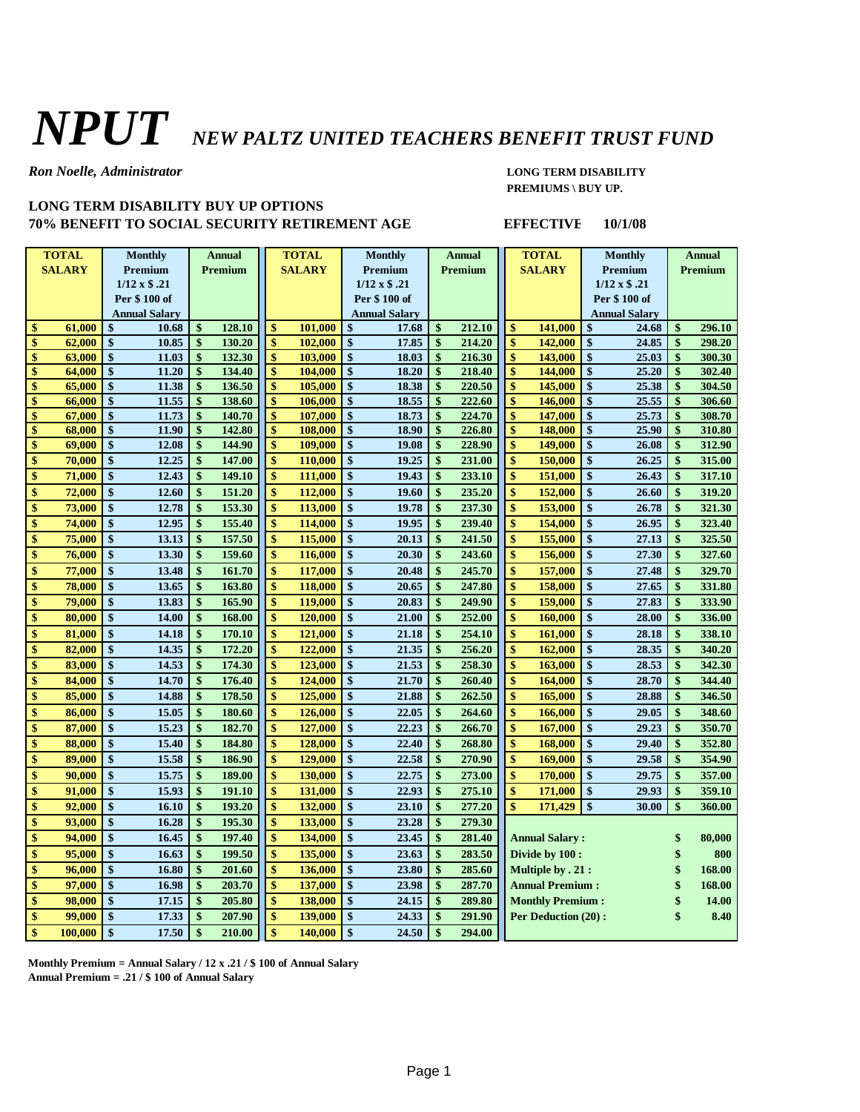## *NPUT NEW PALTZ UNITED TEACHERS BENEFIT TRUST FUND*

*Ron Noelle, Administrator* **LONG TERM DISABILITY**

## **LONG TERM DISABILITY BUY UP OPTIONS 70% BENEFIT TO SOCIAL SECURITY RETIREMENT AGE EFFECTIVE 10/1/08**

## **PREMIUMS \ BUY UP.**

|               | <b>TOTAL</b>  | <b>Monthly</b>       | <b>Annual</b>               |                    | <b>TOTAL</b>  | <b>Monthly</b>                  | <b>Annual</b>     |        | <b>TOTAL</b>             |                         | <b>Monthly</b>              | <b>Annual</b>      |        |
|---------------|---------------|----------------------|-----------------------------|--------------------|---------------|---------------------------------|-------------------|--------|--------------------------|-------------------------|-----------------------------|--------------------|--------|
|               | <b>SALARY</b> | Premium              | Premium                     | <b>SALARY</b>      |               | Premium                         | Premium           |        | <b>SALARY</b>            |                         | Premium                     | Premium            |        |
|               |               | $1/12 \times $.21$   |                             |                    |               | $1/12 \times $.21$              |                   |        |                          | $1/12 \times $.21$      |                             |                    |        |
|               |               | Per \$100 of         |                             |                    |               | Per \$100 of                    |                   |        |                          | Per \$100 of            |                             |                    |        |
|               |               | <b>Annual Salary</b> |                             |                    | Annual Salary |                                 |                   |        |                          | Annual Salary           |                             |                    |        |
| \$            | 61,000        | \$<br>10.68          | \$<br>128.10                | \$                 | 101,000       | \$<br>17.68                     | \$                | 212.10 | \$                       | 141,000                 | \$<br>24.68                 | \$                 | 296.10 |
| \$            | 62,000        | \$<br>10.85          | \$<br>130.20                | \$                 | 102,000       | \$<br>17.85                     | \$                | 214.20 | \$                       | 142,000                 | \$<br>24.85                 | \$                 | 298.20 |
| \$            | 63,000        | \$<br>11.03          | \$<br>132.30                | \$                 | 103,000       | $\boldsymbol{\hat{s}}$<br>18.03 | \$                | 216.30 | \$                       | 143,000                 | $\mathbf{\$}$<br>25.03      | $\mathbf{\$}$      | 300.30 |
| \$            | 64,000        | \$<br>11.20          | \$<br>134.40                | \$                 | 104,000       | \$<br>18.20                     | \$                | 218.40 | \$                       | 144,000                 | \$<br>25.20                 | \$                 | 302.40 |
| \$            | 65,000        | \$<br>11.38          | \$<br>136.50                | \$                 | 105,000       | \$<br>18.38                     | \$                | 220.50 | \$                       | 145,000                 | \$<br>25.38                 | \$                 | 304.50 |
| \$            | 66,000        | 11.55<br>\$          | \$<br>138.60                | \$                 | 106,000       | \$<br>18.55                     | \$                | 222.60 | \$                       | 146,000                 | 25.55<br>\$                 | \$                 | 306.60 |
| \$            | 67,000        | \$<br>11.73          | \$<br>140.70                | $\hat{\mathbf{s}}$ | 107,000       | \$<br>18.73                     | \$                | 224.70 | $\mathbf{\$}$            | 147,000                 | \$<br>25.73                 | \$                 | 308.70 |
| \$            | 68,000        | \$<br>11.90          | \$<br>142.80                | $\hat{\mathbf{s}}$ | 108,000       | \$<br>18.90                     | \$                | 226.80 | $\mathbf{\$}$            | 148,000                 | \$<br>25.90                 | \$                 | 310.80 |
| \$            | 69,000        | \$<br>12.08          | \$<br>144.90                | \$                 | 109,000       | \$<br>19.08                     | \$                | 228.90 | \$                       | 149,000                 | \$<br>26.08                 | \$                 | 312.90 |
| \$            | 70,000        | 12.25<br>\$          | \$<br>147.00                | \$                 | 110,000       | \$<br>19.25                     | \$                | 231.00 | \$                       | 150,000                 | \$<br>26.25                 | \$                 | 315.00 |
| \$            | 71,000        | \$<br>12.43          | \$<br>149.10                | \$                 | 111,000       | \$<br>19.43                     | \$                | 233.10 | \$                       | 151,000                 | \$<br>26.43                 | \$                 | 317.10 |
| \$            | 72,000        | \$<br>12.60          | \$<br>151.20                | \$                 | 112,000       | \$<br>19.60                     | \$                | 235.20 | \$                       | 152,000                 | \$<br>26.60                 | \$                 | 319.20 |
| \$            | 73,000        | \$<br>12.78          | \$<br>153.30                | \$                 | 113,000       | \$<br>19.78                     | \$                | 237.30 | \$                       | 153,000                 | \$<br>26.78                 | \$                 | 321.30 |
| \$            | 74,000        | \$<br>12.95          | \$<br>155.40                | \$                 | 114,000       | \$<br>19.95                     | \$                | 239.40 | $\mathbf{\$}$            | 154,000                 | \$<br>26.95                 | \$                 | 323.40 |
| \$            | 75,000        | \$<br>13.13          | \$<br>157.50                | \$                 | 115,000       | \$<br>20.13                     | \$                | 241.50 | $\mathbf{\$}$            | 155,000                 | $\mathbf{\$}$<br>27.13      | \$                 | 325.50 |
| \$            | 76,000        | \$<br>13.30          | \$<br>159.60                | \$                 | 116,000       | \$<br>20.30                     | \$                | 243.60 | \$                       | 156,000                 | \$<br>27.30                 | \$                 | 327.60 |
| \$            | 77,000        | \$<br>13.48          | \$<br>161.70                | \$                 | 117,000       | \$<br>20.48                     | \$                | 245.70 | \$                       | 157,000                 | $\mathbf{\$}$<br>27.48      | \$                 | 329.70 |
| \$            | 78,000        | \$<br>13.65          | \$<br>163.80                | \$                 | 118,000       | \$<br>20.65                     | \$                | 247.80 | \$                       | 158,000                 | 27.65<br>\$                 | \$                 | 331.80 |
| \$            | 79,000        | \$<br>13.83          | \$<br>165.90                | \$                 | 119,000       | \$<br>20.83                     | \$                | 249.90 | \$                       | 159,000                 | \$<br>27.83                 | \$                 | 333.90 |
| \$            | 80,000        | \$<br>14.00          | \$<br>168.00                | \$                 | 120,000       | \$<br>21.00                     | \$                | 252.00 | \$                       | 160,000                 | $\mathbf{\$}$<br>28.00      | \$                 | 336.00 |
| \$            | 81,000        | \$<br>14.18          | \$<br>170.10                | $\hat{\mathbf{s}}$ | 121,000       | \$<br>21.18                     | \$                | 254.10 | $\mathbf{\$}$            | 161,000                 | \$<br>28.18                 | \$                 | 338.10 |
| \$            | 82,000        | \$<br>14.35          | \$<br>172.20                | \$                 | 122,000       | \$<br>21.35                     | \$                | 256.20 | $\mathbf{\$}$            | 162,000                 | $\mathbf{\$}$<br>28.35      | \$                 | 340.20 |
| \$            | 83,000        | 14.53<br>\$          | \$<br>174.30                | \$                 | 123,000       | \$<br>21.53                     | \$                | 258.30 | \$                       | 163,000                 | \$<br>28.53                 | \$                 | 342.30 |
| \$            | 84,000        | \$<br>14.70          | \$<br>176.40                | \$                 | 124,000       | \$<br>21.70                     | \$                | 260.40 | \$                       | 164,000                 | \$<br>28.70                 | \$                 | 344.40 |
| \$            | 85,000        | \$<br>14.88          | \$<br>178.50                | \$                 | 125,000       | \$<br>21.88                     | \$                | 262.50 | \$                       | 165,000                 | $\mathbf{\$}$<br>28.88      | \$                 | 346.50 |
| \$            | 86,000        | 15.05<br>\$          | \$<br>180.60                | \$                 | 126,000       | \$<br>22.05                     | \$                | 264.60 | \$                       | 166,000                 | \$<br>29.05                 | \$                 | 348.60 |
| \$            | 87,000        | 15.23<br>\$          | \$<br>182.70                | \$                 | 127,000       | \$<br>22.23                     | \$                | 266.70 | \$                       | 167,000                 | $\mathbf{\$}$<br>29.23      | \$                 | 350.70 |
| \$            | 88,000        | \$<br>15.40          | \$<br>184.80                | \$                 | 128,000       | \$<br>22.40                     | \$                | 268.80 | \$                       | 168,000                 | $\mathbf{\hat{S}}$<br>29.40 | $\mathbf{\hat{S}}$ | 352.80 |
| \$            | 89,000        | \$<br>15.58          | \$<br>186.90                | \$                 | 129,000       | \$<br>22.58                     | \$                | 270.90 | \$                       | 169,000                 | 29.58<br>\$                 | \$                 | 354.90 |
| \$            | 90,000        | \$<br>15.75          | \$<br>189.00                | \$                 | 130,000       | \$<br>22.75                     | \$                | 273.00 | \$                       | 170,000                 | \$<br>29.75                 | \$                 | 357.00 |
| \$            | 91,000        | \$<br>15.93          | \$<br>191.10                | \$                 | 131,000       | \$<br>22.93                     | \$                | 275.10 | \$                       | 171,000                 | \$<br>29.93                 | \$                 | 359.10 |
| \$            | 92.000        | \$<br>16.10          | \$<br>193.20                | \$                 | 132,000       | \$<br>23.10                     | \$                | 277.20 | $\mathbf{\$}$            | 171,429                 | $\mathbf{\$}$<br>30.00      | $\mathbf{\$}$      | 360.00 |
| \$            | 93,000        | \$<br>16.28          | \$<br>195.30                | \$                 | 133,000       | \$<br>23.28                     | \$                | 279.30 |                          |                         |                             |                    |        |
| \$            | 94,000        | \$<br>16.45          | \$<br>197.40                | \$                 | 134,000       | \$<br>23.45                     | \$                | 281.40 |                          | <b>Annual Salary:</b>   |                             | \$                 | 80,000 |
| \$            | 95,000        | \$<br>16.63          | \$<br>199.50                | \$                 | 135,000       | \$<br>23.63                     | \$                | 283.50 | Divide by 100 :          |                         |                             | \$                 | 800    |
| \$            | 96,000        | \$<br>16.80          | \$<br>201.60                | \$                 | 136,000       | \$<br>23.80                     | \$                | 285.60 | <b>Multiple by . 21:</b> |                         |                             | \$                 | 168.00 |
| \$            | 97,000        | \$<br>16.98          | \$<br>203.70                | \$                 | 137,000       | \$<br>23.98                     | \$                | 287.70 | <b>Annual Premium:</b>   |                         |                             | \$                 | 168.00 |
| \$            | 98,000        | \$<br>17.15          | \$<br>205.80                | \$                 | 138,000       | \$<br>24.15                     | \$                | 289.80 |                          | <b>Monthly Premium:</b> |                             |                    | 14.00  |
| \$            | 99,000        | \$<br>17.33          | \$<br>207.90                | \$                 | 139,000       | \$<br>24.33                     | \$                | 291.90 |                          | Per Deduction (20):     |                             |                    | 8.40   |
| $\mathbf{\$}$ | 100,000       | \$<br>17.50          | $\boldsymbol{\$}$<br>210.00 | \$                 | 140.000       | $\boldsymbol{\hat{s}}$<br>24.50 | $\boldsymbol{\$}$ | 294.00 |                          |                         |                             |                    |        |

**Monthly Premium = Annual Salary / 12 x .21 / \$ 100 of Annual Salary Annual Premium = .21 / \$ 100 of Annual Salary**